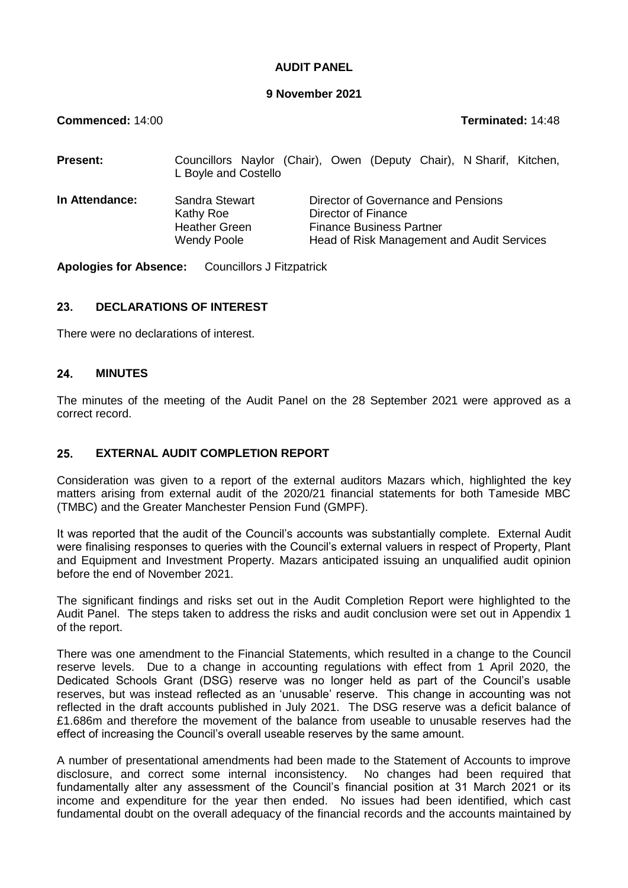## **AUDIT PANEL**

#### **9 November 2021**

**Commenced:** 14:00 **Terminated:** 14:48

| <b>Present:</b> | Councillors Naylor (Chair), Owen (Deputy Chair), N Sharif, Kitchen,<br>L Boyle and Costello |                                                                                                                                             |  |  |  |  |
|-----------------|---------------------------------------------------------------------------------------------|---------------------------------------------------------------------------------------------------------------------------------------------|--|--|--|--|
| In Attendance:  | Sandra Stewart<br>Kathy Roe<br><b>Heather Green</b><br><b>Wendy Poole</b>                   | Director of Governance and Pensions<br>Director of Finance<br><b>Finance Business Partner</b><br>Head of Risk Management and Audit Services |  |  |  |  |

**Apologies for Absence:** Councillors J Fitzpatrick

# **23. DECLARATIONS OF INTEREST**

There were no declarations of interest.

#### **24. MINUTES**

The minutes of the meeting of the Audit Panel on the 28 September 2021 were approved as a correct record.

## **25. EXTERNAL AUDIT COMPLETION REPORT**

Consideration was given to a report of the external auditors Mazars which, highlighted the key matters arising from external audit of the 2020/21 financial statements for both Tameside MBC (TMBC) and the Greater Manchester Pension Fund (GMPF).

It was reported that the audit of the Council's accounts was substantially complete. External Audit were finalising responses to queries with the Council's external valuers in respect of Property, Plant and Equipment and Investment Property. Mazars anticipated issuing an unqualified audit opinion before the end of November 2021.

The significant findings and risks set out in the Audit Completion Report were highlighted to the Audit Panel. The steps taken to address the risks and audit conclusion were set out in Appendix 1 of the report.

There was one amendment to the Financial Statements, which resulted in a change to the Council reserve levels. Due to a change in accounting regulations with effect from 1 April 2020, the Dedicated Schools Grant (DSG) reserve was no longer held as part of the Council's usable reserves, but was instead reflected as an 'unusable' reserve. This change in accounting was not reflected in the draft accounts published in July 2021. The DSG reserve was a deficit balance of £1.686m and therefore the movement of the balance from useable to unusable reserves had the effect of increasing the Council's overall useable reserves by the same amount.

A number of presentational amendments had been made to the Statement of Accounts to improve disclosure, and correct some internal inconsistency. No changes had been required that fundamentally alter any assessment of the Council's financial position at 31 March 2021 or its income and expenditure for the year then ended. No issues had been identified, which cast fundamental doubt on the overall adequacy of the financial records and the accounts maintained by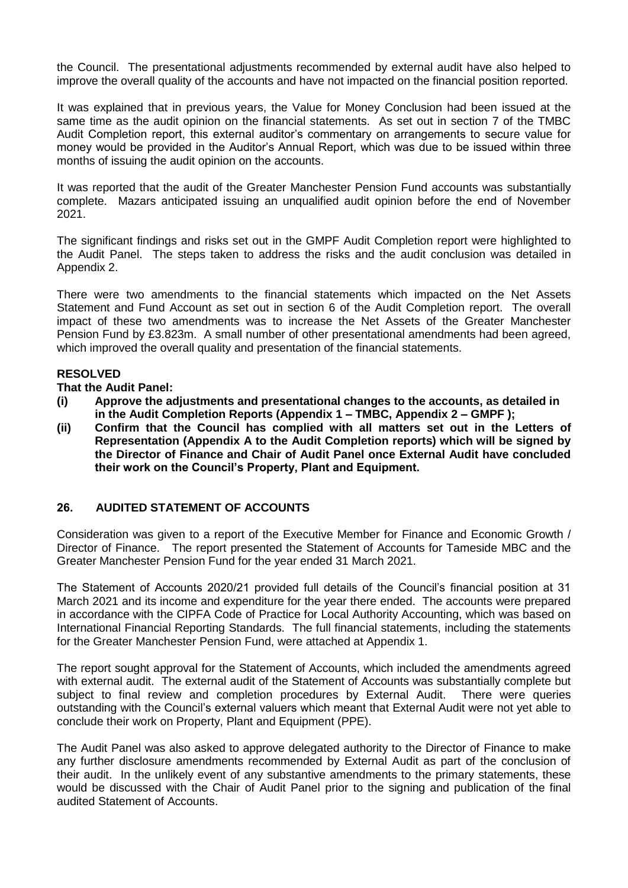the Council. The presentational adjustments recommended by external audit have also helped to improve the overall quality of the accounts and have not impacted on the financial position reported.

It was explained that in previous years, the Value for Money Conclusion had been issued at the same time as the audit opinion on the financial statements. As set out in section 7 of the TMBC Audit Completion report, this external auditor's commentary on arrangements to secure value for money would be provided in the Auditor's Annual Report, which was due to be issued within three months of issuing the audit opinion on the accounts.

It was reported that the audit of the Greater Manchester Pension Fund accounts was substantially complete. Mazars anticipated issuing an unqualified audit opinion before the end of November 2021.

The significant findings and risks set out in the GMPF Audit Completion report were highlighted to the Audit Panel. The steps taken to address the risks and the audit conclusion was detailed in Appendix 2.

There were two amendments to the financial statements which impacted on the Net Assets Statement and Fund Account as set out in section 6 of the Audit Completion report. The overall impact of these two amendments was to increase the Net Assets of the Greater Manchester Pension Fund by £3.823m. A small number of other presentational amendments had been agreed, which improved the overall quality and presentation of the financial statements.

# **RESOLVED**

#### **That the Audit Panel:**

- **(i) Approve the adjustments and presentational changes to the accounts, as detailed in in the Audit Completion Reports (Appendix 1 – TMBC, Appendix 2 – GMPF );**
- **(ii) Confirm that the Council has complied with all matters set out in the Letters of Representation (Appendix A to the Audit Completion reports) which will be signed by the Director of Finance and Chair of Audit Panel once External Audit have concluded their work on the Council's Property, Plant and Equipment.**

# **26. AUDITED STATEMENT OF ACCOUNTS**

Consideration was given to a report of the Executive Member for Finance and Economic Growth / Director of Finance. The report presented the Statement of Accounts for Tameside MBC and the Greater Manchester Pension Fund for the year ended 31 March 2021.

The Statement of Accounts 2020/21 provided full details of the Council's financial position at 31 March 2021 and its income and expenditure for the year there ended. The accounts were prepared in accordance with the CIPFA Code of Practice for Local Authority Accounting, which was based on International Financial Reporting Standards. The full financial statements, including the statements for the Greater Manchester Pension Fund, were attached at Appendix 1.

The report sought approval for the Statement of Accounts, which included the amendments agreed with external audit. The external audit of the Statement of Accounts was substantially complete but subject to final review and completion procedures by External Audit. There were queries outstanding with the Council's external valuers which meant that External Audit were not yet able to conclude their work on Property, Plant and Equipment (PPE).

The Audit Panel was also asked to approve delegated authority to the Director of Finance to make any further disclosure amendments recommended by External Audit as part of the conclusion of their audit. In the unlikely event of any substantive amendments to the primary statements, these would be discussed with the Chair of Audit Panel prior to the signing and publication of the final audited Statement of Accounts.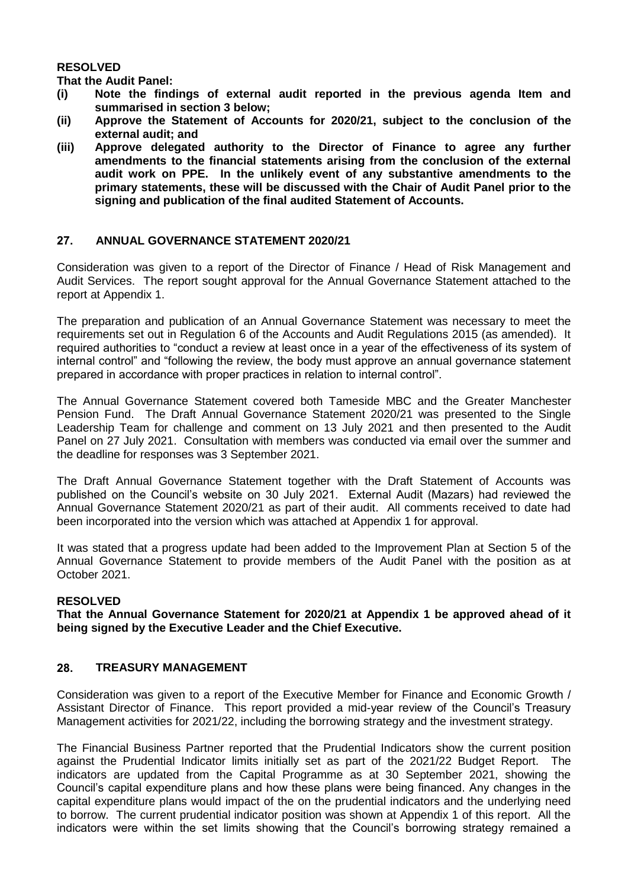#### **RESOLVED**

**That the Audit Panel:**

- **(i) Note the findings of external audit reported in the previous agenda Item and summarised in section 3 below;**
- **(ii) Approve the Statement of Accounts for 2020/21, subject to the conclusion of the external audit; and**
- **(iii) Approve delegated authority to the Director of Finance to agree any further amendments to the financial statements arising from the conclusion of the external audit work on PPE. In the unlikely event of any substantive amendments to the primary statements, these will be discussed with the Chair of Audit Panel prior to the signing and publication of the final audited Statement of Accounts.**

#### **27. ANNUAL GOVERNANCE STATEMENT 2020/21**

Consideration was given to a report of the Director of Finance / Head of Risk Management and Audit Services. The report sought approval for the Annual Governance Statement attached to the report at Appendix 1.

The preparation and publication of an Annual Governance Statement was necessary to meet the requirements set out in Regulation 6 of the Accounts and Audit Regulations 2015 (as amended). It required authorities to "conduct a review at least once in a year of the effectiveness of its system of internal control" and "following the review, the body must approve an annual governance statement prepared in accordance with proper practices in relation to internal control".

The Annual Governance Statement covered both Tameside MBC and the Greater Manchester Pension Fund. The Draft Annual Governance Statement 2020/21 was presented to the Single Leadership Team for challenge and comment on 13 July 2021 and then presented to the Audit Panel on 27 July 2021. Consultation with members was conducted via email over the summer and the deadline for responses was 3 September 2021.

The Draft Annual Governance Statement together with the Draft Statement of Accounts was published on the Council's website on 30 July 2021. External Audit (Mazars) had reviewed the Annual Governance Statement 2020/21 as part of their audit. All comments received to date had been incorporated into the version which was attached at Appendix 1 for approval.

It was stated that a progress update had been added to the Improvement Plan at Section 5 of the Annual Governance Statement to provide members of the Audit Panel with the position as at October 2021.

#### **RESOLVED**

**That the Annual Governance Statement for 2020/21 at Appendix 1 be approved ahead of it being signed by the Executive Leader and the Chief Executive.**

#### **28. TREASURY MANAGEMENT**

Consideration was given to a report of the Executive Member for Finance and Economic Growth / Assistant Director of Finance. This report provided a mid-year review of the Council's Treasury Management activities for 2021/22, including the borrowing strategy and the investment strategy.

The Financial Business Partner reported that the Prudential Indicators show the current position against the Prudential Indicator limits initially set as part of the 2021/22 Budget Report. The indicators are updated from the Capital Programme as at 30 September 2021, showing the Council's capital expenditure plans and how these plans were being financed. Any changes in the capital expenditure plans would impact of the on the prudential indicators and the underlying need to borrow. The current prudential indicator position was shown at Appendix 1 of this report. All the indicators were within the set limits showing that the Council's borrowing strategy remained a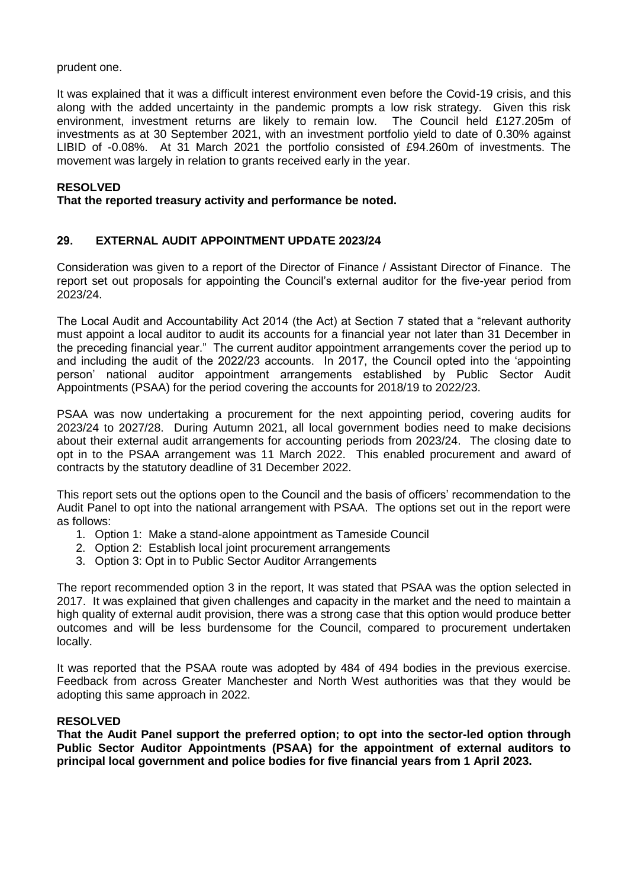prudent one.

It was explained that it was a difficult interest environment even before the Covid-19 crisis, and this along with the added uncertainty in the pandemic prompts a low risk strategy. Given this risk environment, investment returns are likely to remain low. The Council held £127.205m of investments as at 30 September 2021, with an investment portfolio yield to date of 0.30% against LIBID of -0.08%. At 31 March 2021 the portfolio consisted of £94.260m of investments. The movement was largely in relation to grants received early in the year.

## **RESOLVED**

#### **That the reported treasury activity and performance be noted.**

## **29. EXTERNAL AUDIT APPOINTMENT UPDATE 2023/24**

Consideration was given to a report of the Director of Finance / Assistant Director of Finance. The report set out proposals for appointing the Council's external auditor for the five-year period from 2023/24.

The Local Audit and Accountability Act 2014 (the Act) at Section 7 stated that a "relevant authority must appoint a local auditor to audit its accounts for a financial year not later than 31 December in the preceding financial year." The current auditor appointment arrangements cover the period up to and including the audit of the 2022/23 accounts. In 2017, the Council opted into the 'appointing person' national auditor appointment arrangements established by Public Sector Audit Appointments (PSAA) for the period covering the accounts for 2018/19 to 2022/23.

PSAA was now undertaking a procurement for the next appointing period, covering audits for 2023/24 to 2027/28. During Autumn 2021, all local government bodies need to make decisions about their external audit arrangements for accounting periods from 2023/24. The closing date to opt in to the PSAA arrangement was 11 March 2022. This enabled procurement and award of contracts by the statutory deadline of 31 December 2022.

This report sets out the options open to the Council and the basis of officers' recommendation to the Audit Panel to opt into the national arrangement with PSAA. The options set out in the report were as follows:

- 1. Option 1: Make a stand-alone appointment as Tameside Council
- 2. Option 2: Establish local joint procurement arrangements
- 3. Option 3: Opt in to Public Sector Auditor Arrangements

The report recommended option 3 in the report, It was stated that PSAA was the option selected in 2017. It was explained that given challenges and capacity in the market and the need to maintain a high quality of external audit provision, there was a strong case that this option would produce better outcomes and will be less burdensome for the Council, compared to procurement undertaken locally.

It was reported that the PSAA route was adopted by 484 of 494 bodies in the previous exercise. Feedback from across Greater Manchester and North West authorities was that they would be adopting this same approach in 2022.

#### **RESOLVED**

**That the Audit Panel support the preferred option; to opt into the sector-led option through Public Sector Auditor Appointments (PSAA) for the appointment of external auditors to principal local government and police bodies for five financial years from 1 April 2023.**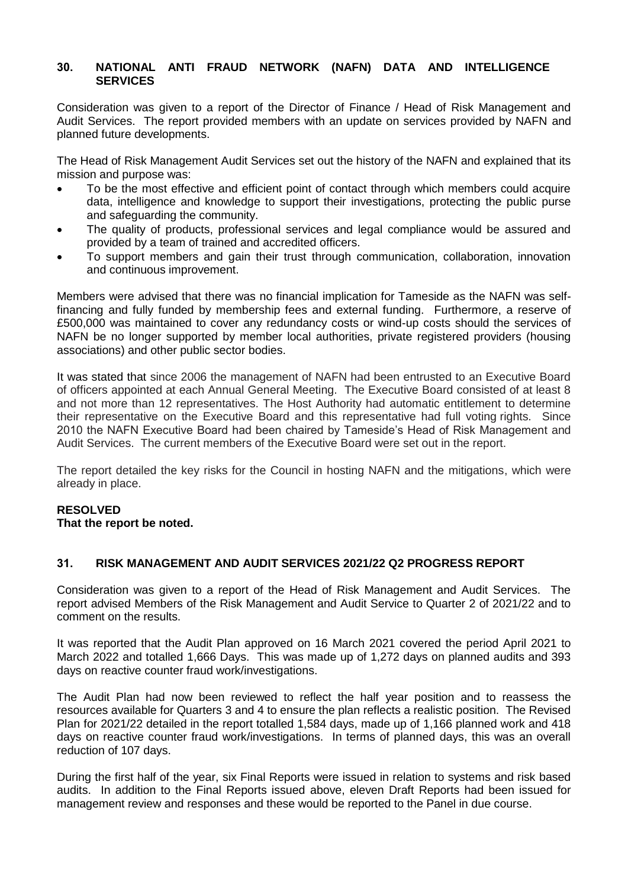## **30. NATIONAL ANTI FRAUD NETWORK (NAFN) DATA AND INTELLIGENCE SERVICES**

Consideration was given to a report of the Director of Finance / Head of Risk Management and Audit Services. The report provided members with an update on services provided by NAFN and planned future developments.

The Head of Risk Management Audit Services set out the history of the NAFN and explained that its mission and purpose was:

- To be the most effective and efficient point of contact through which members could acquire data, intelligence and knowledge to support their investigations, protecting the public purse and safeguarding the community.
- The quality of products, professional services and legal compliance would be assured and provided by a team of trained and accredited officers.
- To support members and gain their trust through communication, collaboration, innovation and continuous improvement.

Members were advised that there was no financial implication for Tameside as the NAFN was selffinancing and fully funded by membership fees and external funding. Furthermore, a reserve of £500,000 was maintained to cover any redundancy costs or wind-up costs should the services of NAFN be no longer supported by member local authorities, private registered providers (housing associations) and other public sector bodies.

It was stated that since 2006 the management of NAFN had been entrusted to an Executive Board of officers appointed at each Annual General Meeting. The Executive Board consisted of at least 8 and not more than 12 representatives. The Host Authority had automatic entitlement to determine their representative on the Executive Board and this representative had full voting rights. Since 2010 the NAFN Executive Board had been chaired by Tameside's Head of Risk Management and Audit Services. The current members of the Executive Board were set out in the report.

The report detailed the key risks for the Council in hosting NAFN and the mitigations, which were already in place.

## **RESOLVED**

**That the report be noted.**

## **31. RISK MANAGEMENT AND AUDIT SERVICES 2021/22 Q2 PROGRESS REPORT**

Consideration was given to a report of the Head of Risk Management and Audit Services. The report advised Members of the Risk Management and Audit Service to Quarter 2 of 2021/22 and to comment on the results.

It was reported that the Audit Plan approved on 16 March 2021 covered the period April 2021 to March 2022 and totalled 1,666 Days. This was made up of 1,272 days on planned audits and 393 days on reactive counter fraud work/investigations.

The Audit Plan had now been reviewed to reflect the half year position and to reassess the resources available for Quarters 3 and 4 to ensure the plan reflects a realistic position. The Revised Plan for 2021/22 detailed in the report totalled 1,584 days, made up of 1,166 planned work and 418 days on reactive counter fraud work/investigations. In terms of planned days, this was an overall reduction of 107 days.

During the first half of the year, six Final Reports were issued in relation to systems and risk based audits. In addition to the Final Reports issued above, eleven Draft Reports had been issued for management review and responses and these would be reported to the Panel in due course.